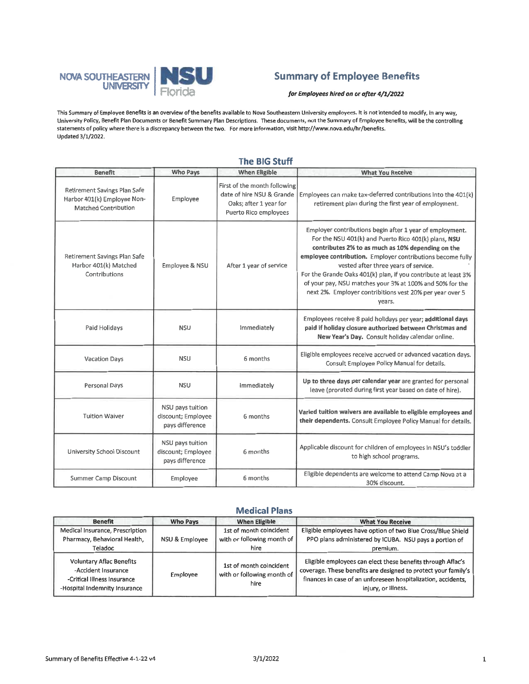

## **Summary of Employee Benefits**

for Employees hired on or after 4/1/2022

This Summary of Employee Benefits is an overview of the benefits available to Nova Southeastern University employees. It is not intended to modify, in any way, University Policy, Benefit Plan Documents or Benefit Summary Plan Descriptions. These documents, not the Summary of Employee Benefits, will be the controlling statements of policy where there is a discrepancy between the two. For more information, visit http://www.nova.edu/hr/benefits. Updated 3/1/2022.

| <b>Benefit</b>                                                                             | Who Pays                                                  | <b>When Eligible</b>                                                                                         | <b>What You Receive</b>                                                                                                                                                                                                                                                                                                                                                                                                                                                         |
|--------------------------------------------------------------------------------------------|-----------------------------------------------------------|--------------------------------------------------------------------------------------------------------------|---------------------------------------------------------------------------------------------------------------------------------------------------------------------------------------------------------------------------------------------------------------------------------------------------------------------------------------------------------------------------------------------------------------------------------------------------------------------------------|
| Retirement Savings Plan Safe<br>Harbor 401(k) Employee Non-<br><b>Matched Contribution</b> | Employee                                                  | First of the month following<br>date of hire NSU & Grande<br>Oaks; after 1 year for<br>Puerto Rico employees | Employees can make tax-deferred contributions into the 401(k)<br>retirement plan during the first year of employment.                                                                                                                                                                                                                                                                                                                                                           |
| Retirement Savings Plan Safe<br>Harbor 401(k) Matched<br>Contributions                     | Employee & NSU                                            | After 1 year of service                                                                                      | Employer contributions begin after 1 year of employment.<br>For the NSU 401(k) and Puerto Rico 401(k) plans, NSU<br>contributes 2% to as much as 10% depending on the<br>employee contribution. Employer contributions become fully<br>vested after three years of service.<br>For the Grande Oaks 401(k) plan, if you contribute at least 3%<br>of your pay, NSU matches your 3% at 100% and 50% for the<br>next 2%. Employer contribitions vest 20% per year over 5<br>years. |
| Paid Holidays                                                                              | <b>NSU</b>                                                | Immediately                                                                                                  | Employees receive 8 paid holidays per year; additional days<br>paid if holiday closure authorized between Christmas and<br>New Year's Day. Consult holiday calendar online.                                                                                                                                                                                                                                                                                                     |
| <b>Vacation Days</b>                                                                       | <b>NSU</b>                                                | 6 months                                                                                                     | Eligible employees receive accrued or advanced vacation days.<br>Consult Employee Policy Manual for details.                                                                                                                                                                                                                                                                                                                                                                    |
| Personal Days                                                                              | <b>NSU</b>                                                | Immediately                                                                                                  | Up to three days per calendar year are granted for personal<br>leave (prorated during first year based on date of hire).                                                                                                                                                                                                                                                                                                                                                        |
| <b>Tuition Waiver</b>                                                                      | NSU pays tuition<br>discount; Employee<br>pays difference | 6 months                                                                                                     | Varied tuition waivers are available to eligible employees and<br>their dependents. Consult Employee Policy Manual for details.                                                                                                                                                                                                                                                                                                                                                 |
| <b>University School Discount</b>                                                          | NSU pays tuition<br>discount; Employee<br>pays difference | 6 months                                                                                                     | Applicable discount for children of employees in NSU's toddler<br>to high school programs.                                                                                                                                                                                                                                                                                                                                                                                      |
| Summer Camp Discount                                                                       | Employee                                                  | 6 months                                                                                                     | Eligible dependents are welcome to attend Camp Nova at a<br>30% discount.                                                                                                                                                                                                                                                                                                                                                                                                       |

#### The RIG Stuff

#### **Medical Plans**

| <b>Benefit</b>                                                                                                  | <b>Who Pays</b> | <b>When Eligible</b>                                          | <b>What You Receive</b>                                                                                                                                                                                               |
|-----------------------------------------------------------------------------------------------------------------|-----------------|---------------------------------------------------------------|-----------------------------------------------------------------------------------------------------------------------------------------------------------------------------------------------------------------------|
| Medical Insurance, Prescription                                                                                 |                 | 1st of month coincident                                       | Eligible employees have option of two Blue Cross/Blue Shield                                                                                                                                                          |
| Pharmacy, Behavioral Health,                                                                                    | NSU & Employee  | with or following month of                                    | PPO plans administered by ICUBA. NSU pays a portion of                                                                                                                                                                |
| Teladoc                                                                                                         |                 | hire                                                          | premium.                                                                                                                                                                                                              |
| Voluntary Aflac Benefits<br>-Accident Insurance<br>-Critical Illness Insurance<br>-Hospital Indemnity Insurance | Employee        | 1st of month coincident<br>with or following month of<br>hire | Eligible employees can elect these benefits through Aflac's<br>coverage. These benefits are designed to protect your family's<br>finances in case of an unforeseen hospitalization, accidents,<br>injury, or illness. |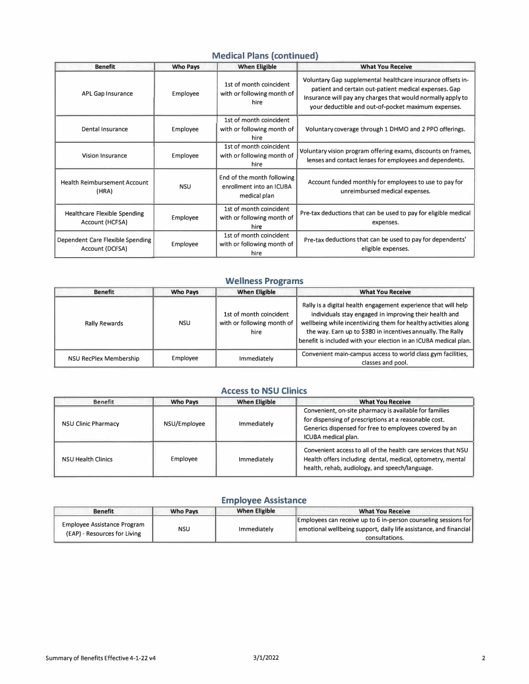## **Medical Plans (continued)**

| <b>Benefit</b>                                         | <b>Who Pays</b> | <b>When Eligible</b>                                                   | <b>What You Receive</b>                                                                                                                                                                                                                    |
|--------------------------------------------------------|-----------------|------------------------------------------------------------------------|--------------------------------------------------------------------------------------------------------------------------------------------------------------------------------------------------------------------------------------------|
| APL Gap Insurance                                      | Employee        | 1st of month coincident<br>with or following month of<br>hire          | Voluntary Gap supplemental healthcare insurance offsets in-<br>patient and certain out-patient medical expenses. Gap<br>Insurance will pay any charges that would normally apply to<br>your deductible and out-of-pocket maximum expenses. |
| Dental Insurance                                       | Employee        | 1st of month coincident<br>with or following month of<br>hire          | Voluntary coverage through 1 DHMO and 2 PPO offerings.                                                                                                                                                                                     |
| <b>Vision Insurance</b>                                | Employee        | 1st of month coincident<br>with or following month of<br>hire          | Voluntary vision program offering exams, discounts on frames,<br>lenses and contact lenses for employees and dependents.                                                                                                                   |
| <b>Health Reimbursement Account</b><br>(HRA)           | <b>NSU</b>      | End of the month following<br>enrollment into an ICUBA<br>medical plan | Account funded monthly for employees to use to pay for<br>unreimbursed medical expenses.                                                                                                                                                   |
| <b>Healthcare Flexible Spending</b><br>Account (HCFSA) | Employee        | 1st of month coincident<br>with or following month of<br>hire          | Pre-tax deductions that can be used to pay for eligible medical<br>expenses.                                                                                                                                                               |
| Dependent Care Flexible Spending<br>Account (DCFSA)    | Employee        | 1st of month coincident<br>with or following month of<br>hire          | Pre-tax deductions that can be used to pay for dependents'<br>eligible expenses.                                                                                                                                                           |

## **Wellness Programs**

| <b>Benefit</b>         | <b>Who Pays</b> | <b>When Eligible</b>                                          | <b>What You Receive</b>                                                                                                                                                                                                                                                                                                        |
|------------------------|-----------------|---------------------------------------------------------------|--------------------------------------------------------------------------------------------------------------------------------------------------------------------------------------------------------------------------------------------------------------------------------------------------------------------------------|
| <b>Rally Rewards</b>   | <b>NSU</b>      | 1st of month coincident<br>with or following month of<br>hire | Rally is a digital health engagement experience that will help<br>individuals stay engaged in improving their health and<br>wellbeing while incentivizing them for healthy activities along<br>the way. Earn up to \$380 in incentives annually. The Rally<br>benefit is included with your election in an ICUBA medical plan. |
| NSU RecPlex Membership | Employee        | Immediately                                                   | Convenient main-campus access to world class gym facilities.<br>classes and pool.                                                                                                                                                                                                                                              |

#### **Access to NSU Clinics**

| <b>Benefit</b>             | <b>Who Pays</b> | <b>When Eligible</b> | <b>What You Receive</b>                                                                                                                                                                          |
|----------------------------|-----------------|----------------------|--------------------------------------------------------------------------------------------------------------------------------------------------------------------------------------------------|
| <b>NSU Clinic Pharmacy</b> | NSU/Employee    | Immediately          | Convenient, on-site pharmacy is available for families<br>for dispensing of prescriptions at a reasonable cost.<br>Generics dispensed for free to employees covered by an<br>ICUBA medical plan. |
| <b>NSU Health Clinics</b>  | Employee        | Immediately          | Convenient access to all of the health care services that NSU<br>Health offers including dental, medical, optometry, mental<br>health, rehab, audiology, and speech/language.                    |

#### **Employee Assistance**

| <b>Benefit</b>                                                     | <b>Who Pays</b> | <b>When Eligible</b> | <b>What You Receive</b>                                                                                                                                |
|--------------------------------------------------------------------|-----------------|----------------------|--------------------------------------------------------------------------------------------------------------------------------------------------------|
| <b>Employee Assistance Program</b><br>(EAP) - Resources for Living | NSU             | Immediately          | Employees can receive up to 6 in-person counseling sessions for<br>emotional wellbeing support, daily life assistance, and financial<br>consultations. |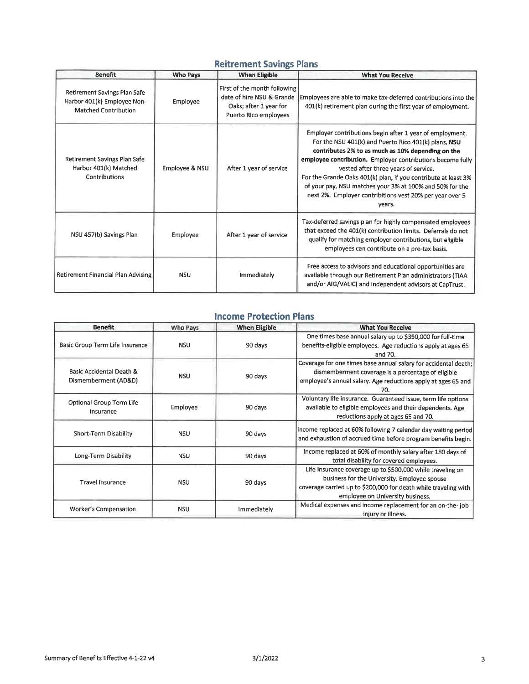## **Reitrement Savings Plans**

| <b>Benefit</b>                                                                             | <b>Who Pays</b> | <b>When Eligible</b>                                                                                         | <b>What You Receive</b>                                                                                                                                                                                                                                                                                                                                                                                                                                                         |
|--------------------------------------------------------------------------------------------|-----------------|--------------------------------------------------------------------------------------------------------------|---------------------------------------------------------------------------------------------------------------------------------------------------------------------------------------------------------------------------------------------------------------------------------------------------------------------------------------------------------------------------------------------------------------------------------------------------------------------------------|
| Retirement Savings Plan Safe<br>Harbor 401(k) Employee Non-<br><b>Matched Contribution</b> | Employee        | First of the month following<br>date of hire NSU & Grande<br>Oaks; after 1 year for<br>Puerto Rico employees | Employees are able to make tax-deferred contributions into the<br>401(k) retirement plan during the first year of employment.                                                                                                                                                                                                                                                                                                                                                   |
| Retirement Savings Plan Safe<br>Harbor 401(k) Matched<br>Contributions                     | Employee & NSU  | After 1 year of service                                                                                      | Employer contributions begin after 1 year of employment.<br>For the NSU 401(k) and Puerto Rico 401(k) plans, NSU<br>contributes 2% to as much as 10% depending on the<br>employee contribution. Employer contributions become fully<br>vested after three years of service.<br>For the Grande Oaks 401(k) plan, if you contribute at least 3%<br>of your pay, NSU matches your 3% at 100% and 50% for the<br>next 2%. Employer contribitions vest 20% per year over 5<br>years. |
| NSU 457(b) Savings Plan                                                                    | Employee        | After 1 year of service                                                                                      | Tax-deferred savings plan for highly compensated employees<br>that exceed the 401(k) contribution limits. Deferrals do not<br>qualify for matching employer contributions, but eligible<br>employees can contribute on a pre-tax basis.                                                                                                                                                                                                                                         |
| Retirement Financial Plan Advising                                                         | <b>NSU</b>      | Immediately                                                                                                  | Free access to advisors and educational opportunities are<br>available through our Retirement Plan administrators (TIAA<br>and/or AIG/VALIC) and independent advisors at CapTrust.                                                                                                                                                                                                                                                                                              |

### **Income Protection Plans**

| <b>Benefit</b>                                   | Who Pays   | <b>When Eligible</b> | <b>What You Receive</b>                                                                                                                                                                                           |
|--------------------------------------------------|------------|----------------------|-------------------------------------------------------------------------------------------------------------------------------------------------------------------------------------------------------------------|
| Basic Group Term Life Insurance                  | <b>NSU</b> | 90 days              | One times base annual salary up to \$350,000 for full-time<br>benefits-eligible employees. Age reductions apply at ages 65<br>and 70.                                                                             |
| Basic Accidental Death &<br>Dismemberment (AD&D) | <b>NSU</b> | 90 days              | Coverage for one times base annual salary for accidental death;<br>dismemberment coverage is a percentage of eligible<br>employee's annual salary. Age reductions apply at ages 65 and<br>70.                     |
| Optional Group Term Life<br>Insurance            | Employee   | 90 days              | Voluntary life insurance. Guaranteed issue, term life options<br>available to eligible employees and their dependents. Age<br>reductions apply at ages 65 and 70.                                                 |
| Short-Term Disability                            | <b>NSU</b> | 90 days              | Income replaced at 60% following 7 calendar day waiting period<br>and exhaustion of accrued time before program benefits begin.                                                                                   |
| Long-Term Disability                             | <b>NSU</b> | 90 days              | Income replaced at 60% of monthly salary after 180 days of<br>total disability for covered employees.                                                                                                             |
| <b>Travel Insurance</b>                          | <b>NSU</b> | 90 days              | Life Insurance coverage up to \$500,000 while traveling on<br>business for the University. Employee spouse<br>coverage carried up to \$200,000 for death while traveling with<br>employee on University business. |
| Worker's Compensation                            | <b>NSU</b> | Immediately          | Medical expenses and income replacement for an on-the-job<br>injury or illness.                                                                                                                                   |